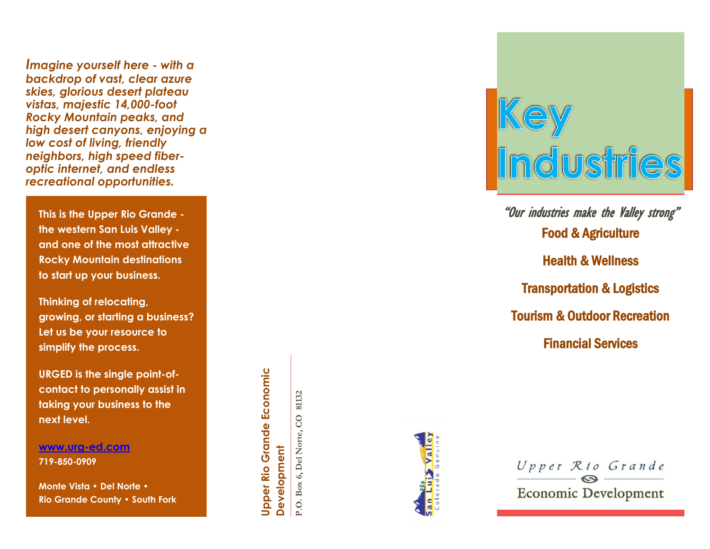*Imagine yourself here - with a backdrop of vast, clear azure skies, glorious desert plateau vistas, majestic 14,000 -foot Rocky Mountain peaks, and high desert canyons , enjoying a low cost of living, friendly neighbors, high speed fiber optic internet, and endless recreational opportunities.* 

**This is the Upper Rio Grande the western San Luis Valley and one of the most attractive Rocky Mountain destination s to start up your business.** 

**Thinking of relocating, growing, or starting a business? Let us b e your resource to simplify the process.**

**URGED is the single point -of contact to personally assist in taking your business to the next level.** 

**[www.urg](http://www.urg-ed.com/) -ed.com 719 -850 -0909**

**Monte Vista • Del Norte • Rio Grande County • South Fork**

**Upper Rio Grande Economic Upper Rio Grande Economic** Development **Development**

**P.O. Box 6, Del Norte, CO 81132**

P.O. Box 6, Del Norte, CO

81132





Food & Agriculture Health & Wellness Transportation & Logistics Tourism & Outdoor Recreation Financial Services